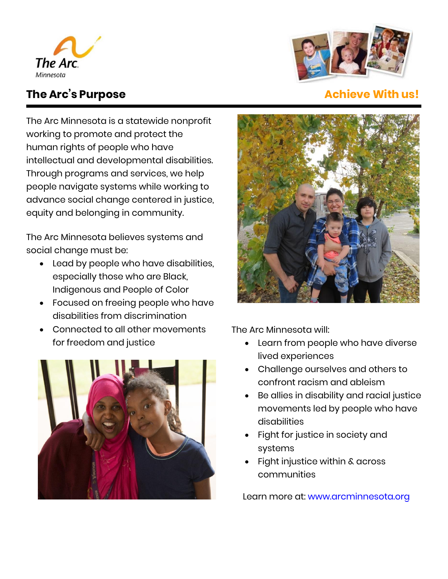



# **The Arc's Purpose the Arcivity of Achieve With us!**

The Arc Minnesota is a statewide nonprofit working to promote and protect the human rights of people who have intellectual and developmental disabilities. Through programs and services, we help people navigate systems while working to advance social change centered in justice, equity and belonging in community.

The Arc Minnesota believes systems and social change must be:

- Lead by people who have disabilities, especially those who are Black, Indigenous and People of Color
- Focused on freeing people who have disabilities from discrimination
- Connected to all other movements for freedom and justice





The Arc Minnesota will:

- Learn from people who have diverse lived experiences
- Challenge ourselves and others to confront racism and ableism
- Be allies in disability and racial justice movements led by people who have disabilities
- Fight for justice in society and systems
- Fight injustice within & across communities

Learn more at: [www.arcminnesota.org](http://www.arcminnesota.org/)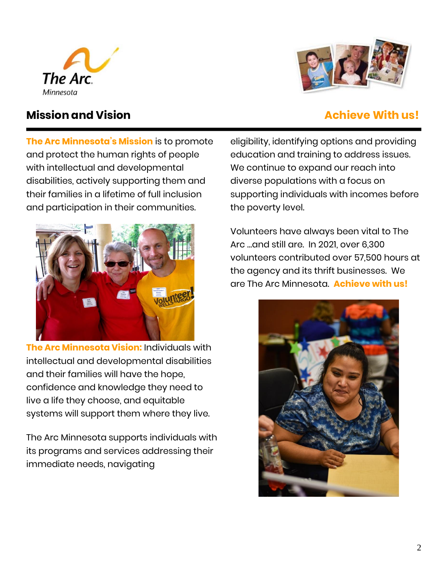



# **Mission and Vision**

**The Arc Minnesota's Mission** is to promote and protect the human rights of people with intellectual and developmental disabilities, actively supporting them and their families in a lifetime of full inclusion and participation in their communities.



**The Arc Minnesota Vision:** Individuals with intellectual and developmental disabilities and their families will have the hope, confidence and knowledge they need to live a life they choose, and equitable systems will support them where they live.

The Arc Minnesota supports individuals with its programs and services addressing their immediate needs, navigating

eligibility, identifying options and providing education and training to address issues. We continue to expand our reach into diverse populations with a focus on supporting individuals with incomes before the poverty level.

Volunteers have always been vital to The Arc …and still are. In 2021, over 6,300 volunteers contributed over 57,500 hours at the agency and its thrift businesses. We are The Arc Minnesota. **Achieve with us!**

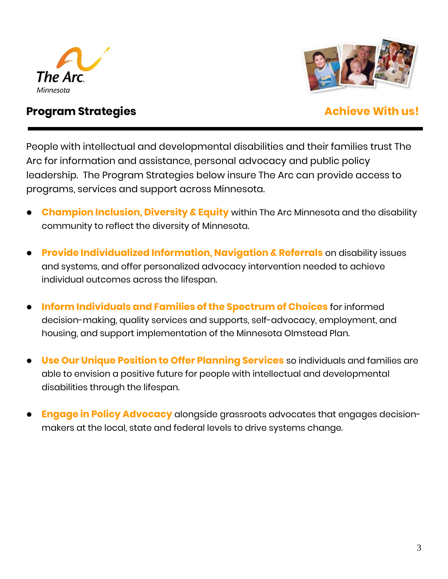



### **Program Strategies Achieve With us!**

People with intellectual and developmental disabilities and their families trust The Arc for information and assistance, personal advocacy and public policy leadership. The Program Strategies below insure The Arc can provide access to programs, services and support across Minnesota.

- **Champion Inclusion, Diversity & Equity** within The Arc Minnesota and the disability community to reflect the diversity of Minnesota.
- **Provide Individualized Information, Navigation & Referrals** on disability issues and systems, and offer personalized advocacy intervention needed to achieve individual outcomes across the lifespan.
- **Inform Individuals and Families of the Spectrum of Choices** for informed decision-making, quality services and supports, self-advocacy, employment, and housing, and support implementation of the Minnesota Olmstead Plan.
- **Use Our Unique Position to Offer Planning Services** so individuals and families are able to envision a positive future for people with intellectual and developmental disabilities through the lifespan.
- **Engage in Policy Advocacy** alongside grassroots advocates that engages decisionmakers at the local, state and federal levels to drive systems change.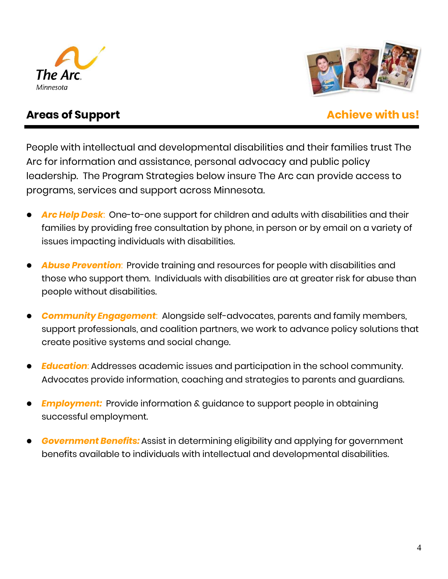



### **Areas of Support Achieve with us!**

People with intellectual and developmental disabilities and their families trust The Arc for information and assistance, personal advocacy and public policy leadership. The Program Strategies below insure The Arc can provide access to programs, services and support across Minnesota.

- *Arc Help Desk*: One-to-one support for children and adults with disabilities and their families by providing free consultation by phone, in person or by email on a variety of issues impacting individuals with disabilities.
- *Abuse Prevention*: Provide training and resources for people with disabilities and those who support them. Individuals with disabilities are at greater risk for abuse than people without disabilities.
- *Community Engagement*: Alongside self-advocates, parents and family members, support professionals, and coalition partners, we work to advance policy solutions that create positive systems and social change.
- *Education*: Addresses academic issues and participation in the school community. Advocates provide information, coaching and strategies to parents and guardians.
- **Employment:** Provide information & guidance to support people in obtaining successful employment.
- *Government Benefits:* Assist in determining eligibility and applying for government benefits available to individuals with intellectual and developmental disabilities.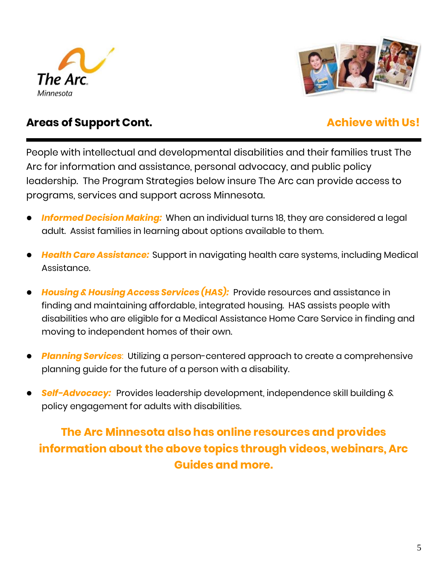



## Areas of Support Cont. **Achieve with Us!**

People with intellectual and developmental disabilities and their families trust The Arc for information and assistance, personal advocacy, and public policy leadership. The Program Strategies below insure The Arc can provide access to programs, services and support across Minnesota.

- *Informed Decision Making:* When an individual turns 18, they are considered a legal adult. Assist families in learning about options available to them.
- *Health Care Assistance:* Support in navigating health care systems, including Medical Assistance.
- *Housing & Housing Access Services (HAS):* Provide resources and assistance in finding and maintaining affordable, integrated housing. HAS assists people with disabilities who are eligible for a Medical Assistance Home Care Service in finding and moving to independent homes of their own.
- *Planning Services*: Utilizing a person-centered approach to create a comprehensive planning guide for the future of a person with a disability.
- *Self-Advocacy:* Provides leadership development, independence skill building & policy engagement for adults with disabilities.

# **The Arc Minnesota also has online resources and provides information about the above topics through videos, webinars, Arc Guides and more.**